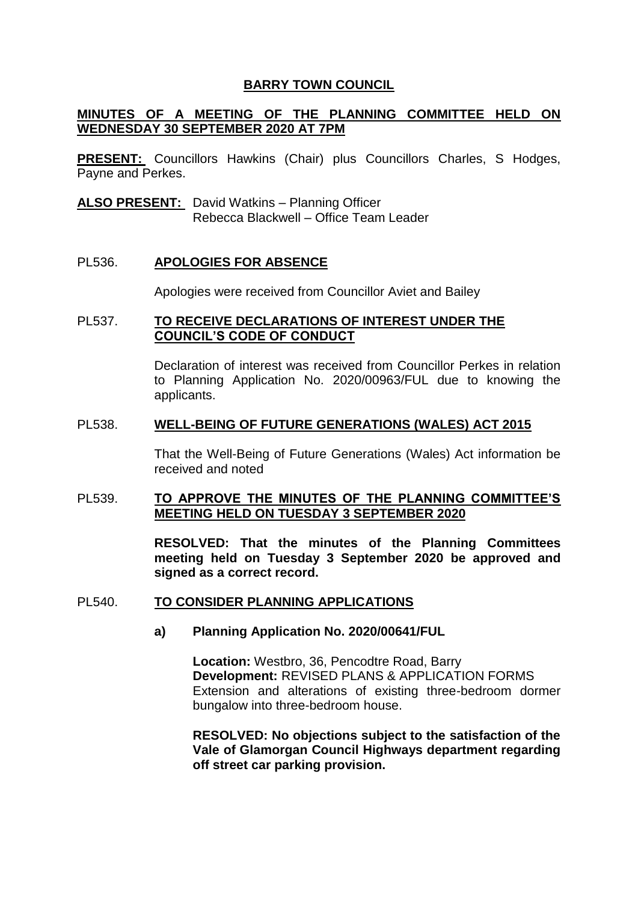### **BARRY TOWN COUNCIL**

#### **MINUTES OF A MEETING OF THE PLANNING COMMITTEE HELD ON WEDNESDAY 30 SEPTEMBER 2020 AT 7PM**

**PRESENT:** Councillors Hawkins (Chair) plus Councillors Charles, S Hodges, Payne and Perkes.

**ALSO PRESENT:** David Watkins – Planning Officer Rebecca Blackwell – Office Team Leader

#### PL536. **APOLOGIES FOR ABSENCE**

Apologies were received from Councillor Aviet and Bailey

#### PL537. **TO RECEIVE DECLARATIONS OF INTEREST UNDER THE COUNCIL'S CODE OF CONDUCT**

Declaration of interest was received from Councillor Perkes in relation to Planning Application No. 2020/00963/FUL due to knowing the applicants.

#### PL538. **WELL-BEING OF FUTURE GENERATIONS (WALES) ACT 2015**

That the Well-Being of Future Generations (Wales) Act information be received and noted

#### PL539. **TO APPROVE THE MINUTES OF THE PLANNING COMMITTEE'S MEETING HELD ON TUESDAY 3 SEPTEMBER 2020**

**RESOLVED: That the minutes of the Planning Committees meeting held on Tuesday 3 September 2020 be approved and signed as a correct record.** 

#### PL540. **TO CONSIDER PLANNING APPLICATIONS**

#### **a) Planning Application No. 2020/00641/FUL**

**Location:** Westbro, 36, Pencodtre Road, Barry **Development:** REVISED PLANS & APPLICATION FORMS Extension and alterations of existing three-bedroom dormer bungalow into three-bedroom house.

**RESOLVED: No objections subject to the satisfaction of the Vale of Glamorgan Council Highways department regarding off street car parking provision.**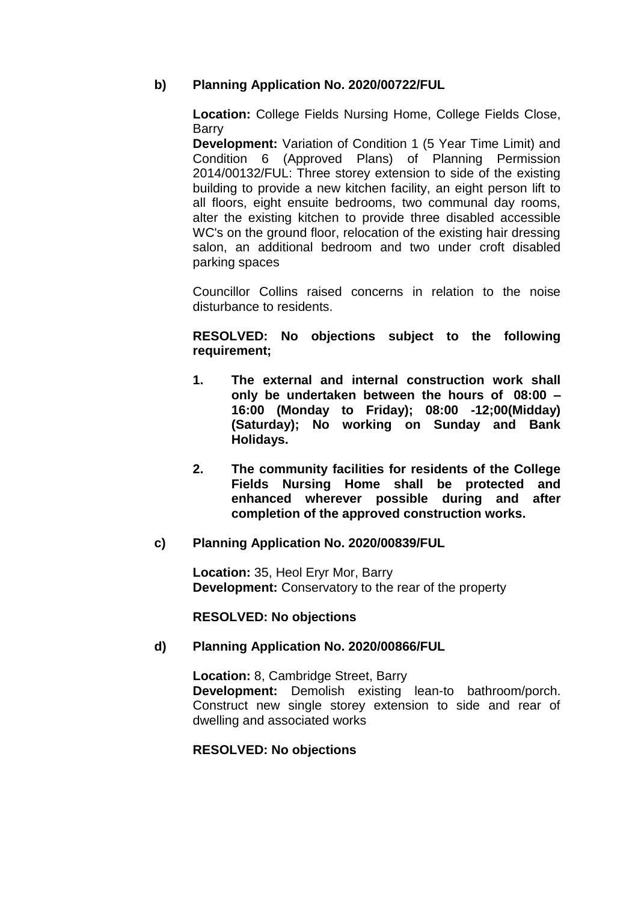# **b) Planning Application No. 2020/00722/FUL**

**Location:** College Fields Nursing Home, College Fields Close, Barry

**Development:** Variation of Condition 1 (5 Year Time Limit) and Condition 6 (Approved Plans) of Planning Permission 2014/00132/FUL: Three storey extension to side of the existing building to provide a new kitchen facility, an eight person lift to all floors, eight ensuite bedrooms, two communal day rooms, alter the existing kitchen to provide three disabled accessible WC's on the ground floor, relocation of the existing hair dressing salon, an additional bedroom and two under croft disabled parking spaces

Councillor Collins raised concerns in relation to the noise disturbance to residents.

#### **RESOLVED: No objections subject to the following requirement;**

- **1. The external and internal construction work shall only be undertaken between the hours of 08:00 – 16:00 (Monday to Friday); 08:00 -12;00(Midday) (Saturday); No working on Sunday and Bank Holidays.**
- **2. The community facilities for residents of the College Fields Nursing Home shall be protected and enhanced wherever possible during and after completion of the approved construction works.**

## **c) Planning Application No. 2020/00839/FUL**

**Location:** 35, Heol Eryr Mor, Barry **Development:** Conservatory to the rear of the property

## **RESOLVED: No objections**

## **d) Planning Application No. 2020/00866/FUL**

**Location:** 8, Cambridge Street, Barry **Development:** Demolish existing lean-to bathroom/porch. Construct new single storey extension to side and rear of dwelling and associated works

#### **RESOLVED: No objections**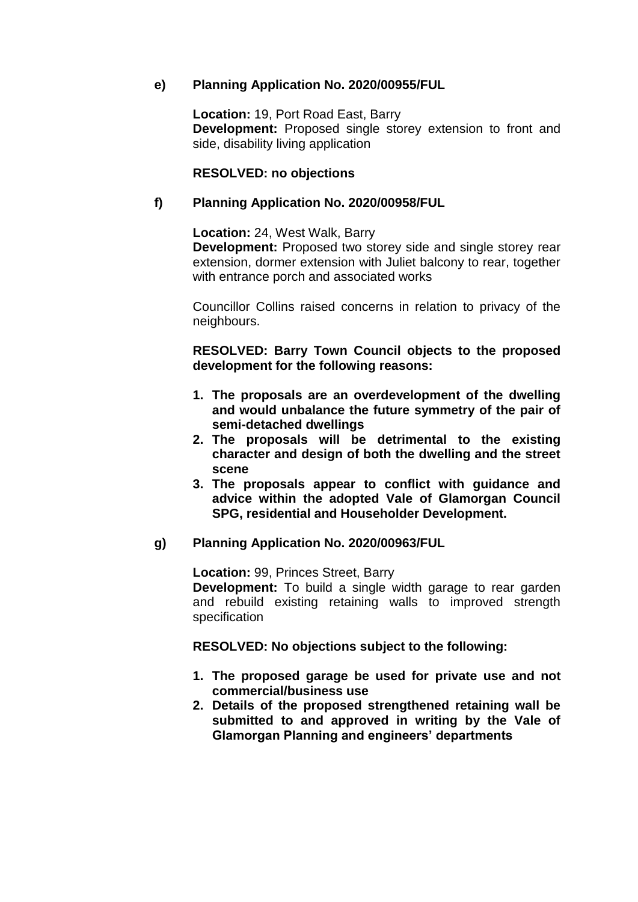# **e) Planning Application No. 2020/00955/FUL**

**Location:** 19, Port Road East, Barry **Development:** Proposed single storey extension to front and side, disability living application

# **RESOLVED: no objections**

# **f) Planning Application No. 2020/00958/FUL**

**Location:** 24, West Walk, Barry

**Development:** Proposed two storey side and single storey rear extension, dormer extension with Juliet balcony to rear, together with entrance porch and associated works

Councillor Collins raised concerns in relation to privacy of the neighbours.

**RESOLVED: Barry Town Council objects to the proposed development for the following reasons:** 

- **1. The proposals are an overdevelopment of the dwelling and would unbalance the future symmetry of the pair of semi-detached dwellings**
- **2. The proposals will be detrimental to the existing character and design of both the dwelling and the street scene**
- **3. The proposals appear to conflict with guidance and advice within the adopted Vale of Glamorgan Council SPG, residential and Householder Development.**

## **g) Planning Application No. 2020/00963/FUL**

**Location:** 99, Princes Street, Barry

**Development:** To build a single width garage to rear garden and rebuild existing retaining walls to improved strength specification

**RESOLVED: No objections subject to the following:** 

- **1. The proposed garage be used for private use and not commercial/business use**
- **2. Details of the proposed strengthened retaining wall be submitted to and approved in writing by the Vale of Glamorgan Planning and engineers' departments**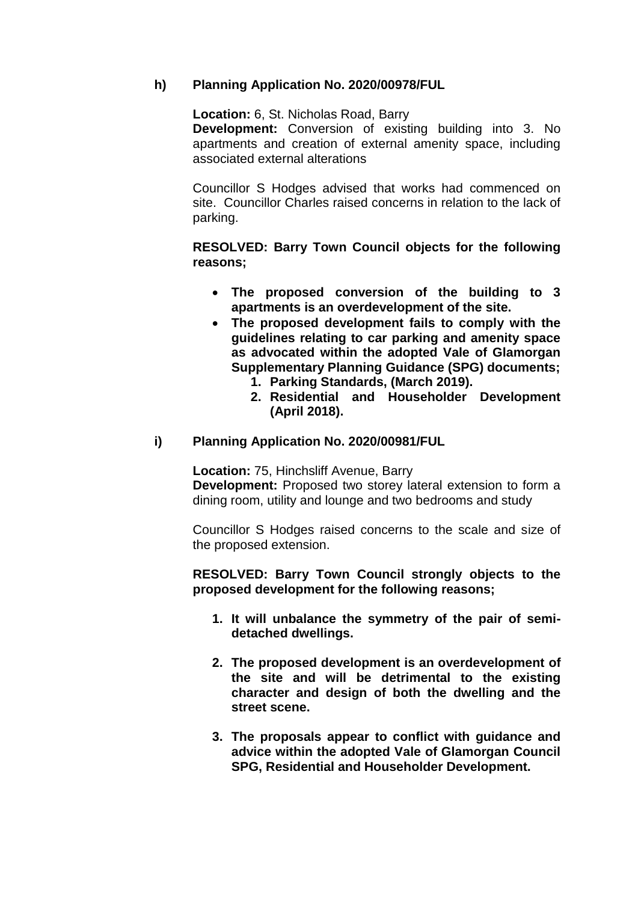# **h) Planning Application No. 2020/00978/FUL**

**Location:** 6, St. Nicholas Road, Barry

**Development:** Conversion of existing building into 3. No apartments and creation of external amenity space, including associated external alterations

Councillor S Hodges advised that works had commenced on site. Councillor Charles raised concerns in relation to the lack of parking.

# **RESOLVED: Barry Town Council objects for the following reasons;**

- **The proposed conversion of the building to 3 apartments is an overdevelopment of the site.**
- **The proposed development fails to comply with the guidelines relating to car parking and amenity space as advocated within the adopted Vale of Glamorgan Supplementary Planning Guidance (SPG) documents;**
	- **1. Parking Standards, (March 2019).**
	- **2. Residential and Householder Development (April 2018).**

## **i) Planning Application No. 2020/00981/FUL**

**Location:** 75, Hinchsliff Avenue, Barry **Development:** Proposed two storey lateral extension to form a dining room, utility and lounge and two bedrooms and study

Councillor S Hodges raised concerns to the scale and size of the proposed extension.

**RESOLVED: Barry Town Council strongly objects to the proposed development for the following reasons;**

- **1. It will unbalance the symmetry of the pair of semidetached dwellings.**
- **2. The proposed development is an overdevelopment of the site and will be detrimental to the existing character and design of both the dwelling and the street scene.**
- **3. The proposals appear to conflict with guidance and advice within the adopted Vale of Glamorgan Council SPG, Residential and Householder Development.**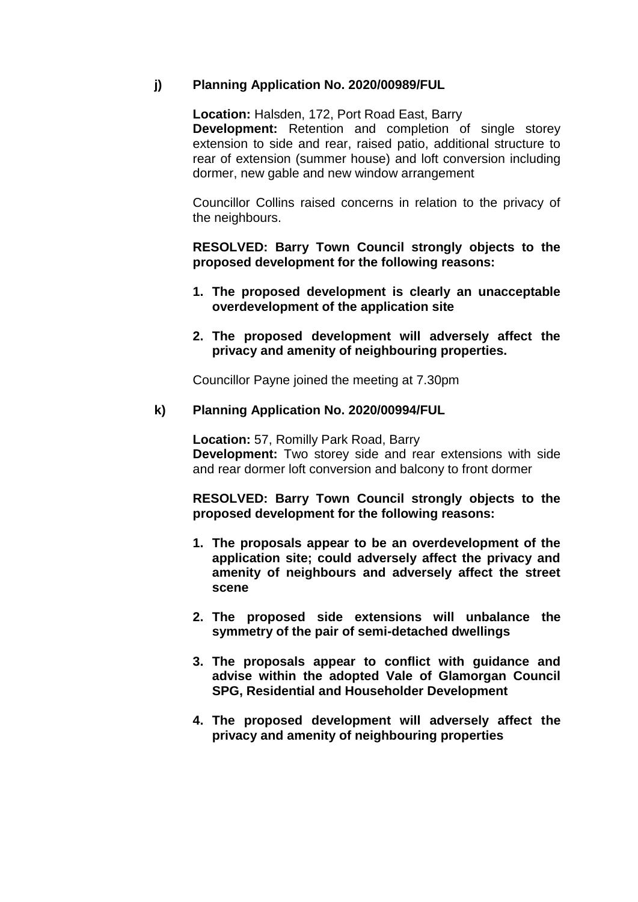# **j) Planning Application No. 2020/00989/FUL**

**Location:** Halsden, 172, Port Road East, Barry **Development:** Retention and completion of single storey extension to side and rear, raised patio, additional structure to rear of extension (summer house) and loft conversion including dormer, new gable and new window arrangement

Councillor Collins raised concerns in relation to the privacy of the neighbours.

**RESOLVED: Barry Town Council strongly objects to the proposed development for the following reasons:** 

- **1. The proposed development is clearly an unacceptable overdevelopment of the application site**
- **2. The proposed development will adversely affect the privacy and amenity of neighbouring properties.**

Councillor Payne joined the meeting at 7.30pm

## **k) Planning Application No. 2020/00994/FUL**

**Location:** 57, Romilly Park Road, Barry **Development:** Two storey side and rear extensions with side and rear dormer loft conversion and balcony to front dormer

**RESOLVED: Barry Town Council strongly objects to the proposed development for the following reasons:** 

- **1. The proposals appear to be an overdevelopment of the application site; could adversely affect the privacy and amenity of neighbours and adversely affect the street scene**
- **2. The proposed side extensions will unbalance the symmetry of the pair of semi-detached dwellings**
- **3. The proposals appear to conflict with guidance and advise within the adopted Vale of Glamorgan Council SPG, Residential and Householder Development**
- **4. The proposed development will adversely affect the privacy and amenity of neighbouring properties**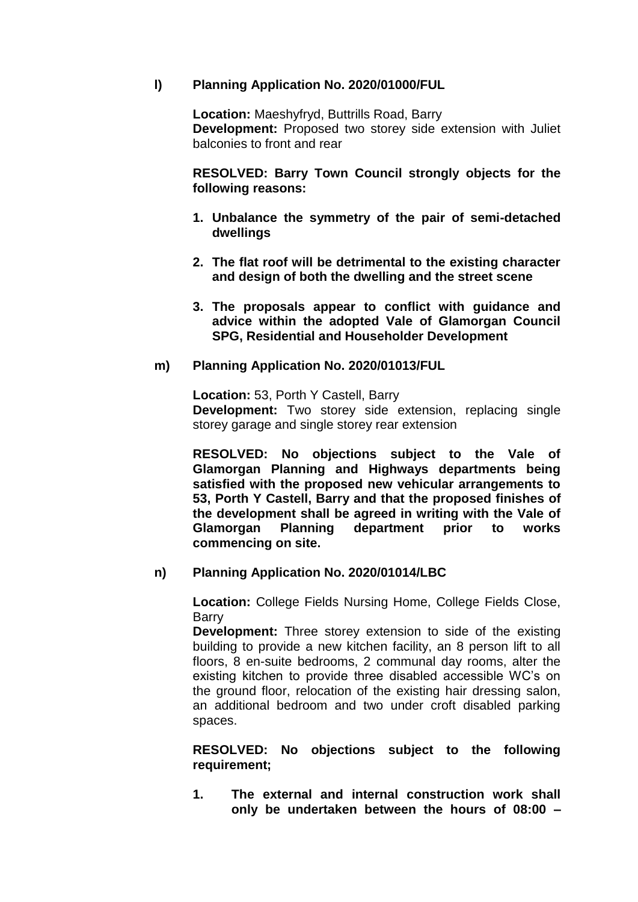### **l) Planning Application No. 2020/01000/FUL**

**Location:** Maeshyfryd, Buttrills Road, Barry **Development:** Proposed two storey side extension with Juliet balconies to front and rear

**RESOLVED: Barry Town Council strongly objects for the following reasons:**

- **1. Unbalance the symmetry of the pair of semi-detached dwellings**
- **2. The flat roof will be detrimental to the existing character and design of both the dwelling and the street scene**
- **3. The proposals appear to conflict with guidance and advice within the adopted Vale of Glamorgan Council SPG, Residential and Householder Development**

#### **m) Planning Application No. 2020/01013/FUL**

**Location:** 53, Porth Y Castell, Barry **Development:** Two storey side extension, replacing single storey garage and single storey rear extension

**RESOLVED: No objections subject to the Vale of Glamorgan Planning and Highways departments being satisfied with the proposed new vehicular arrangements to 53, Porth Y Castell, Barry and that the proposed finishes of the development shall be agreed in writing with the Vale of Glamorgan Planning department prior to works commencing on site.**

## **n) Planning Application No. 2020/01014/LBC**

**Location:** College Fields Nursing Home, College Fields Close, **Barry** 

**Development:** Three storey extension to side of the existing building to provide a new kitchen facility, an 8 person lift to all floors, 8 en-suite bedrooms, 2 communal day rooms, alter the existing kitchen to provide three disabled accessible WC's on the ground floor, relocation of the existing hair dressing salon, an additional bedroom and two under croft disabled parking spaces.

**RESOLVED: No objections subject to the following requirement;**

**1. The external and internal construction work shall only be undertaken between the hours of 08:00 –**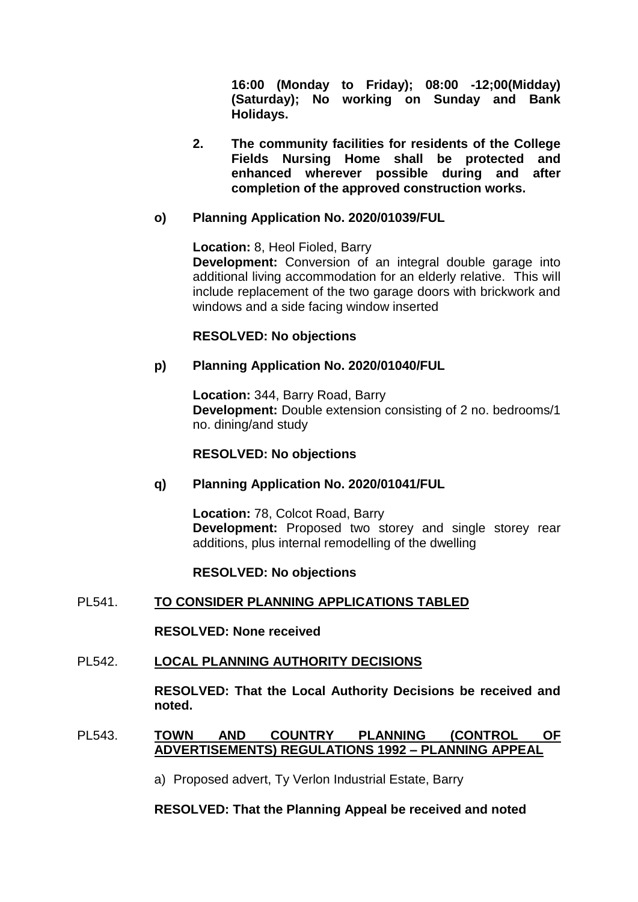**16:00 (Monday to Friday); 08:00 -12;00(Midday) (Saturday); No working on Sunday and Bank Holidays.**

**2. The community facilities for residents of the College Fields Nursing Home shall be protected and enhanced wherever possible during and after completion of the approved construction works.**

# **o) Planning Application No. 2020/01039/FUL**

**Location:** 8, Heol Fioled, Barry **Development:** Conversion of an integral double garage into additional living accommodation for an elderly relative. This will include replacement of the two garage doors with brickwork and windows and a side facing window inserted

## **RESOLVED: No objections**

#### **p) Planning Application No. 2020/01040/FUL**

**Location:** 344, Barry Road, Barry **Development:** Double extension consisting of 2 no. bedrooms/1 no. dining/and study

#### **RESOLVED: No objections**

## **q) Planning Application No. 2020/01041/FUL**

**Location:** 78, Colcot Road, Barry **Development:** Proposed two storey and single storey rear additions, plus internal remodelling of the dwelling

#### **RESOLVED: No objections**

## PL541. **TO CONSIDER PLANNING APPLICATIONS TABLED**

**RESOLVED: None received** 

#### PL542. **LOCAL PLANNING AUTHORITY DECISIONS**

**RESOLVED: That the Local Authority Decisions be received and noted.** 

#### PL543. **TOWN AND COUNTRY PLANNING (CONTROL OF ADVERTISEMENTS) REGULATIONS 1992 – PLANNING APPEAL**

a) Proposed advert, Ty Verlon Industrial Estate, Barry

#### **RESOLVED: That the Planning Appeal be received and noted**